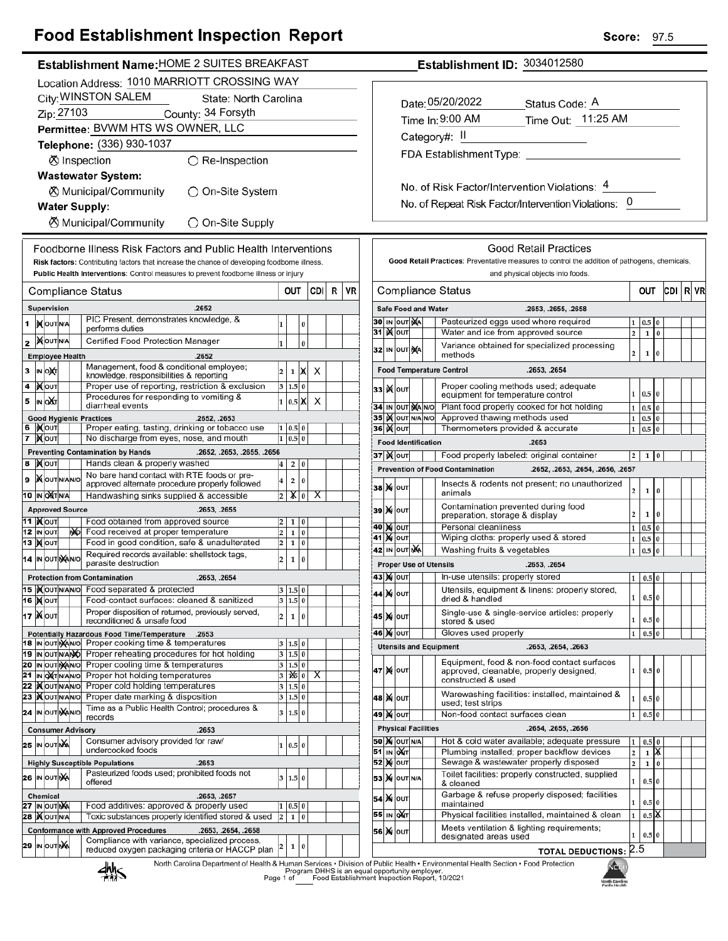## **Food Establishment Inspection Report**

×

| <b>OOG EStablishment inspection Report</b>                                                                                           |                                                                 |                                                                                               |  |                     |                               |                                                                                            | ocore.                  |                                | ษอ           |              |
|--------------------------------------------------------------------------------------------------------------------------------------|-----------------------------------------------------------------|-----------------------------------------------------------------------------------------------|--|---------------------|-------------------------------|--------------------------------------------------------------------------------------------|-------------------------|--------------------------------|--------------|--------------|
| Establishment Name: HOME 2 SUITES BREAKFAST                                                                                          |                                                                 |                                                                                               |  |                     |                               | Establishment ID: 3034012580                                                               |                         |                                |              |              |
| Location Address: 1010 MARRIOTT CROSSING WAY                                                                                         |                                                                 |                                                                                               |  |                     |                               |                                                                                            |                         |                                |              |              |
| City: WINSTON SALEM<br>State: North Carolina                                                                                         |                                                                 |                                                                                               |  |                     |                               | Date: 05/20/2022                                                                           |                         |                                |              |              |
| Zip: 27103<br>County: 34 Forsyth                                                                                                     |                                                                 |                                                                                               |  |                     |                               | Status Code: A                                                                             |                         |                                |              |              |
| Permittee: BVWM HTS WS OWNER, LLC                                                                                                    |                                                                 |                                                                                               |  |                     |                               | Time Out: 11:25 AM<br>Time In: 9:00 AM                                                     |                         |                                |              |              |
| Telephone: (336) 930-1037                                                                                                            |                                                                 |                                                                                               |  |                     |                               | Category#: II                                                                              |                         |                                |              |              |
| ⊗ Inspection<br>$\bigcirc$ Re-Inspection                                                                                             |                                                                 |                                                                                               |  |                     |                               |                                                                                            |                         |                                |              |              |
| <b>Wastewater System:</b>                                                                                                            |                                                                 |                                                                                               |  |                     |                               |                                                                                            |                         |                                |              |              |
|                                                                                                                                      |                                                                 |                                                                                               |  |                     |                               | No. of Risk Factor/Intervention Violations: 4                                              |                         |                                |              |              |
| <b><math>\oslash</math> Municipal/Community</b><br>○ On-Site System                                                                  |                                                                 |                                                                                               |  |                     |                               | No. of Repeat Risk Factor/Intervention Violations: 0                                       |                         |                                |              |              |
| <b>Water Supply:</b>                                                                                                                 |                                                                 |                                                                                               |  |                     |                               |                                                                                            |                         |                                |              |              |
| <b><math>\oslash</math> Municipal/Community</b><br>◯ On-Site Supply                                                                  |                                                                 |                                                                                               |  |                     |                               |                                                                                            |                         |                                |              |              |
| Foodborne Illness Risk Factors and Public Health Interventions                                                                       |                                                                 |                                                                                               |  |                     |                               | <b>Good Retail Practices</b>                                                               |                         |                                |              |              |
| Risk factors: Contributing factors that increase the chance of developing foodborne illness.                                         |                                                                 | Good Retail Practices: Preventative measures to control the addition of pathogens, chemicals, |  |                     |                               |                                                                                            |                         |                                |              |              |
| Public Health Interventions: Control measures to prevent foodborne illness or injury                                                 |                                                                 |                                                                                               |  |                     |                               | and physical objects into foods.                                                           |                         |                                |              |              |
| <b>Compliance Status</b>                                                                                                             | <b>CDI</b><br>$R$ VR<br>OUT                                     |                                                                                               |  |                     |                               | <b>Compliance Status</b>                                                                   |                         | OUT                            |              | CDI   R   VR |
| .2652<br>Supervision                                                                                                                 |                                                                 |                                                                                               |  |                     | Safe Food and Water           | .2653, .2655, .2658                                                                        |                         |                                |              |              |
| PIC Present, demonstrates knowledge, &<br><b>IX</b> OUTINA<br>1<br>performs duties                                                   | 0<br>1                                                          |                                                                                               |  | 30 IN OUT MA        |                               | Pasteurized eggs used where required                                                       |                         | 1   0.5   0                    |              |              |
| <b>MOUTNA</b><br>Certified Food Protection Manager<br>2                                                                              |                                                                 |                                                                                               |  | 31   X   OUT        |                               | Water and ice from approved source                                                         | 2 <sup>1</sup>          | $\mathbf 1$                    | $\bf{0}$     |              |
| <b>Employee Health</b><br>.2652                                                                                                      | 0<br>1                                                          |                                                                                               |  | 32 IN OUT NA        |                               | Variance obtained for specialized processing<br>methods                                    | $\overline{2}$          | $\mathbf{1}$                   | $\mathbf{0}$ |              |
| Management, food & conditional employee;<br>з ім одт                                                                                 | X<br>2<br>$\times$<br>$\mathbf{1}$                              |                                                                                               |  |                     |                               | <b>Food Temperature Control</b><br>.2653, .2654                                            |                         |                                |              |              |
| knowledge, responsibilities & reporting<br>4  ) (Олт<br>Proper use of reporting, restriction & exclusion                             | $3 \ 1.5 \ 0$                                                   |                                                                                               |  |                     |                               | Proper cooling methods used; adequate                                                      |                         |                                |              |              |
| Procedures for responding to vomiting &<br>IN OXT<br>5                                                                               | 1 0.5 X<br>X                                                    |                                                                                               |  | зз ) <b>X</b>   оит |                               | equipment for temperature control                                                          |                         | 1   0.5   0                    |              |              |
| diarrheal events                                                                                                                     |                                                                 |                                                                                               |  |                     | 34 IN OUT MA NO               | Plant food properly cooked for hot holding                                                 |                         | $1 \mid 0.5 \mid 0$            |              |              |
| <b>Good Hygienic Practices</b><br>.2652, .2653<br>6 ∣)Х∣о∪т<br>Proper eating, tasting, drinking or tobacco use                       | 1   0.5   0                                                     |                                                                                               |  | 36   <b>X</b> out   | 35 IN OUT N/A N/O             | Approved thawing methods used<br>Thermometers provided & accurate                          |                         | $1 \vert 0.5 \vert 0$<br>1 0.5 | $\bf{0}$     |              |
| 7 MOUT<br>No discharge from eyes, nose, and mouth                                                                                    | 1   0.5   0                                                     |                                                                                               |  |                     | <b>Food Identification</b>    | .2653                                                                                      |                         |                                |              |              |
| <b>Preventing Contamination by Hands</b><br>.2652, .2653, .2655, .2656                                                               |                                                                 |                                                                                               |  | <b>37 Kout</b>      |                               | Food properly labeled: original container                                                  |                         | $2 \mid 1 \mid 0$              |              |              |
| Hands clean & properly washed<br>8  )х(∣о∪т                                                                                          | $\overline{\mathbf{4}}$<br>$\mathbf{2}$<br>0                    |                                                                                               |  |                     |                               | <b>Prevention of Food Contamination</b><br>.2652, .2653, .2654, .2656, .2657               |                         |                                |              |              |
| No bare hand contact with RTE foods or pre-<br><b>XOUT NANO</b><br>9<br>approved alternate procedure properly followed               | 4<br>$\overline{2}$<br>0                                        |                                                                                               |  |                     |                               | Insects & rodents not present; no unauthorized                                             |                         |                                |              |              |
| 10 IN OXTNA<br>Handwashing sinks supplied & accessible                                                                               | $\chi _0$<br>$\overline{\mathsf{x}}$<br>$\overline{\mathbf{c}}$ |                                                                                               |  | <b>38 X OUT</b>     |                               | animals                                                                                    | $\overline{\mathbf{c}}$ | $1\quad0$                      |              |              |
| <b>Approved Source</b><br>.2653, .2655                                                                                               |                                                                 |                                                                                               |  | 39 X OUT            |                               | Contamination prevented during food<br>preparation, storage & display                      | 2                       | $1\vert 0$                     |              |              |
| Food obtained from approved source<br>11  ) <b>χ</b>  ουτ                                                                            | 2<br>1 0                                                        |                                                                                               |  | 40 M OUT            |                               | Personal cleanliness                                                                       |                         | $1 \t0.5 \t0$                  |              |              |
| <b>2 IN OUT</b><br>Food received at proper temperature<br>NO.<br><u>із  x   оит </u><br>Food in good condition, safe & unadulterated | $\overline{\mathbf{c}}$<br>1 0<br>$\overline{2}$<br>1 0         |                                                                                               |  | <b>41 X</b>   оит   |                               | Wiping cloths: properly used & stored                                                      |                         | 1   0.5   0                    |              |              |
| Required records available: shellstock tags,<br><b>4 IN OUT NAINO</b>                                                                |                                                                 |                                                                                               |  | 42 IN OUT NA        |                               | Washing fruits & vegetables                                                                |                         | 1 0.5                          | $\mathbf{0}$ |              |
| parasite destruction                                                                                                                 | 2<br>$\mathbf{1}$<br>$\bf{0}$                                   |                                                                                               |  |                     | <b>Proper Use of Utensils</b> | .2653, .2654                                                                               |                         |                                |              |              |
| <b>Protection from Contamination</b><br>.2653, .2654                                                                                 |                                                                 |                                                                                               |  | 43 Х оит            |                               | In-use utensils: properly stored                                                           |                         | 1   0.5   0                    |              |              |
| <b>15  )(OUTNANO</b><br>Food separated & protected<br>Food-contact surfaces: cleaned & sanitized<br><b>16 MOUT</b>                   | 3   1.5   0<br>$3 \ 1.5 \ 0$                                    |                                                                                               |  | 44 X олт            |                               | Utensils, equipment & linens: properly stored,<br>dried & handled                          | 1                       | 0.5 0                          |              |              |
| Proper disposition of returned, previously served,<br>ιτ  )Χ∣ουτ∣                                                                    | 2<br>$\mathbf 1$<br>l o                                         |                                                                                               |  | 45 X   OUT          |                               | Single-use & single-service articles: properly                                             |                         |                                |              |              |
| reconditioned & unsafe food                                                                                                          |                                                                 |                                                                                               |  |                     |                               | stored & used                                                                              | 1                       | 0.5 0                          |              |              |
| <b>Potentially Hazardous Food Time/Temperature</b><br>.2653<br><b>18  ın ouτ χάρινο  Proper cooking time &amp; temperatures</b>      | 3   1.5   0                                                     |                                                                                               |  | <b>46 X OUT</b>     |                               | Gloves used properly                                                                       |                         | $1 \ 0.5 \ 0$                  |              |              |
| Proper reheating procedures for hot holding<br>9 IN OUT N/ANO                                                                        | 3 1.5 0                                                         |                                                                                               |  |                     |                               | <b>Utensils and Equipment</b><br>.2653, .2654, .2663                                       |                         |                                |              |              |
| Proper cooling time & temperatures<br>20 IN OUT NANO                                                                                 | 3   1.5   0                                                     |                                                                                               |  | 47 M out            |                               | Equipment, food & non-food contact surfaces<br>approved, cleanable, properly designed,     | $1\vert$                | $0.5$ 0                        |              |              |
| Proper hot holding temperatures<br>21 IN OXTNANO<br>Proper cold holding temperatures<br>22   OUTNANO                                 | 3<br>※ <sup>0</sup> X<br>3<br>1.5 0                             |                                                                                               |  |                     |                               | constructed & used                                                                         |                         |                                |              |              |
| 23   OUTNANO<br>Proper date marking & disposition                                                                                    | 3   1.5   0                                                     |                                                                                               |  | <b>48 MOUT</b>      |                               | Warewashing facilities: installed, maintained &<br>used; test strips                       | $\mathbf{1}$            | 0.5 0                          |              |              |
| Time as a Public Health Control; procedures &<br>24 IN OUT MANO<br>records                                                           | 3<br>1.5 0                                                      |                                                                                               |  | <b>49 ) </b> ουτ    |                               | Non-food contact surfaces clean                                                            | $\mathbf{1}$            | 0.5 0                          |              |              |
| .2653<br><b>Consumer Advisory</b>                                                                                                    |                                                                 |                                                                                               |  |                     | <b>Physical Facilities</b>    | .2654, .2655, .2656                                                                        |                         |                                |              |              |
| Consumer advisory provided for raw/<br>25 IN OUT NA                                                                                  | 0.5 0<br>1                                                      |                                                                                               |  | <b>50 X OUT N/A</b> |                               | Hot & cold water available; adequate pressure                                              | $1\vert$                | $0.5$ 0                        |              |              |
| undercooked foods                                                                                                                    |                                                                 |                                                                                               |  | 51 IN OUT           |                               | Plumbing installed; proper backflow devices                                                | $\mathbf{2}$            | $1$ $\chi$                     |              |              |
| <b>Highly Susceptible Populations</b><br>.2653<br>Pasteurized foods used; prohibited foods not                                       |                                                                 |                                                                                               |  | <b>52 MOUT</b>      |                               | Sewage & wastewater properly disposed<br>Toilet facilities: properly constructed, supplied | $\mathbf{2}$            | 1 0                            |              |              |
| 26  IN OUTINA<br>offered                                                                                                             | 3<br>1.5<br>$\bf{0}$                                            |                                                                                               |  | 53 M OUT N/A        |                               | & cleaned                                                                                  | $1\vert$                | 0.50                           |              |              |
| Chemical<br>.2653, .2657<br>Food additives: approved & properly used<br>27 IN OUT NA                                                 | 0.5 0                                                           |                                                                                               |  | <b>54 X OUT</b>     |                               | Garbage & refuse properly disposed; facilities<br>maintained                               | 1                       | $0.5$ 0                        |              |              |
| 28   OUTNA<br>Toxic substances properly identified stored & used                                                                     | l o<br>$\overline{2}$<br>1                                      |                                                                                               |  | 55 IN OXT           |                               | Physical facilities installed, maintained & clean                                          | $\mathbf{1}$            | 0.5 <sup>8</sup>               |              |              |
| <b>Conformance with Approved Procedures</b><br>.2653, .2654, .2658                                                                   |                                                                 |                                                                                               |  | 56 X ouт            |                               | Meets ventilation & lighting requirements;                                                 | 1                       | 0.5 0                          |              |              |
| Compliance with variance, specialized process,<br><b>29 IN OUT NA</b><br>reduced oxygen packaging criteria or HACCP plan             | $\mathbf 1$<br>0                                                |                                                                                               |  |                     |                               | designated areas used<br><b>TOTAL DEDUCTIONS: 2.5</b>                                      |                         |                                |              |              |
|                                                                                                                                      |                                                                 |                                                                                               |  |                     |                               |                                                                                            |                         |                                |              |              |

North Carolina Department of Health & Human Services • Division of Public Health • Environmental Health Section • Food Protection<br>Program DHHS is an equal opportunity employer.<br>Page 1 of Caroling Food Establishment Inspect



NGEL North Carolina<br>Public Health

 $Score$   $975$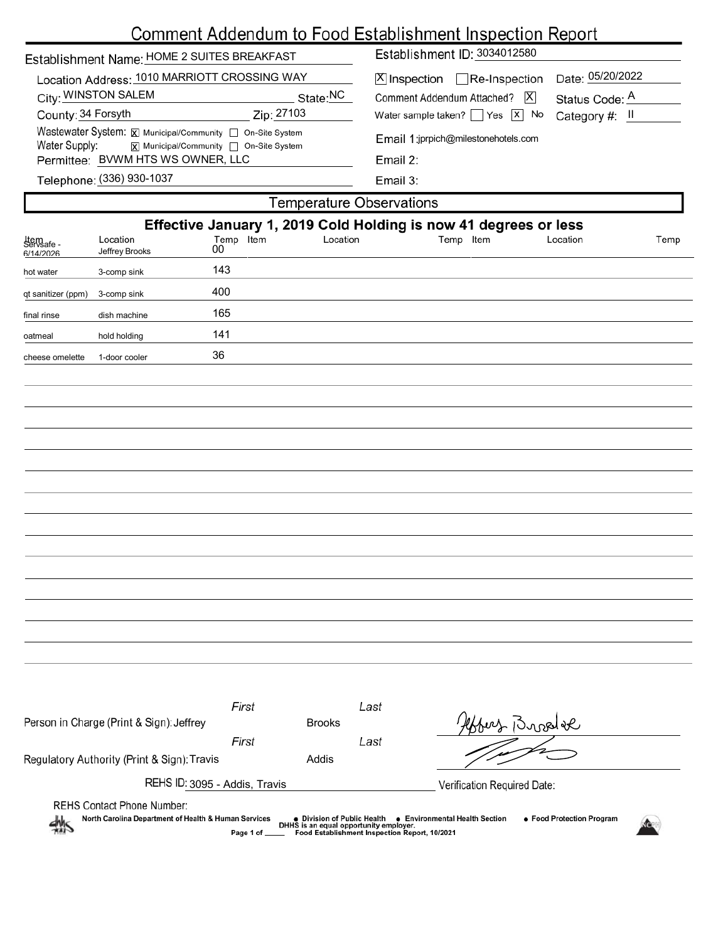|                                                                                                                        | Comment Addendum to Food Establishment Inspection Report |                 |       |               |                                                                                                      |           |                                                                  |          |      |  |  |  |
|------------------------------------------------------------------------------------------------------------------------|----------------------------------------------------------|-----------------|-------|---------------|------------------------------------------------------------------------------------------------------|-----------|------------------------------------------------------------------|----------|------|--|--|--|
| Establishment Name: HOME 2 SUITES BREAKFAST                                                                            |                                                          |                 |       |               | Establishment ID: 3034012580                                                                         |           |                                                                  |          |      |  |  |  |
| Location Address: 1010 MARRIOTT CROSSING WAY                                                                           |                                                          |                 |       |               | Date: 05/20/2022<br>$X$ Inspection Re-Inspection<br>Comment Addendum Attached?   X<br>Status Code: A |           |                                                                  |          |      |  |  |  |
| City: WINSTON SALEM<br>State:NC                                                                                        |                                                          |                 |       |               |                                                                                                      |           |                                                                  |          |      |  |  |  |
| Zip: 27103<br>County: 34 Forsyth                                                                                       |                                                          |                 |       |               | Water sample taken? $\Box$ Yes $\Box$<br>No<br>Category #: $II$                                      |           |                                                                  |          |      |  |  |  |
| Wastewater System: X Municipal/Community   On-Site System<br>Water Supply:<br> X  Municipal/Community   On-Site System |                                                          |                 |       |               | Email 1:jprpich@milestonehotels.com                                                                  |           |                                                                  |          |      |  |  |  |
|                                                                                                                        | Permittee: BVWM HTS WS OWNER, LLC                        |                 |       |               | Email 2:                                                                                             |           |                                                                  |          |      |  |  |  |
|                                                                                                                        | Telephone: (336) 930-1037                                |                 |       |               | Email 3:                                                                                             |           |                                                                  |          |      |  |  |  |
|                                                                                                                        |                                                          |                 |       |               | <b>Temperature Observations</b>                                                                      |           |                                                                  |          |      |  |  |  |
|                                                                                                                        |                                                          |                 |       |               |                                                                                                      |           | Effective January 1, 2019 Cold Holding is now 41 degrees or less |          |      |  |  |  |
| Item<br>Servsafe -<br>6/14/2026                                                                                        | Location<br>Jeffrey Brooks                               | Temp Item<br>00 |       | Location      |                                                                                                      | Temp Item |                                                                  | Location | Temp |  |  |  |
| hot water                                                                                                              | 3-comp sink                                              | 143             |       |               |                                                                                                      |           |                                                                  |          |      |  |  |  |
| qt sanitizer (ppm)                                                                                                     | 3-comp sink                                              | 400             |       |               |                                                                                                      |           |                                                                  |          |      |  |  |  |
| final rinse                                                                                                            | dish machine                                             | 165             |       |               |                                                                                                      |           |                                                                  |          |      |  |  |  |
| oatmeal                                                                                                                | hold holding                                             | 141             |       |               |                                                                                                      |           |                                                                  |          |      |  |  |  |
| cheese omelette                                                                                                        | 1-door cooler                                            | 36              |       |               |                                                                                                      |           |                                                                  |          |      |  |  |  |
|                                                                                                                        |                                                          |                 |       |               |                                                                                                      |           |                                                                  |          |      |  |  |  |
|                                                                                                                        |                                                          |                 |       |               |                                                                                                      |           |                                                                  |          |      |  |  |  |
|                                                                                                                        |                                                          |                 |       |               |                                                                                                      |           |                                                                  |          |      |  |  |  |
|                                                                                                                        |                                                          |                 |       |               |                                                                                                      |           |                                                                  |          |      |  |  |  |
|                                                                                                                        |                                                          |                 |       |               |                                                                                                      |           |                                                                  |          |      |  |  |  |
|                                                                                                                        |                                                          |                 |       |               |                                                                                                      |           |                                                                  |          |      |  |  |  |
|                                                                                                                        |                                                          |                 |       |               |                                                                                                      |           |                                                                  |          |      |  |  |  |
|                                                                                                                        |                                                          |                 |       |               |                                                                                                      |           |                                                                  |          |      |  |  |  |
|                                                                                                                        |                                                          |                 |       |               |                                                                                                      |           |                                                                  |          |      |  |  |  |
|                                                                                                                        |                                                          |                 |       |               |                                                                                                      |           |                                                                  |          |      |  |  |  |
|                                                                                                                        |                                                          |                 |       |               |                                                                                                      |           |                                                                  |          |      |  |  |  |
|                                                                                                                        |                                                          |                 |       |               |                                                                                                      |           |                                                                  |          |      |  |  |  |
|                                                                                                                        |                                                          |                 |       |               |                                                                                                      |           |                                                                  |          |      |  |  |  |
|                                                                                                                        |                                                          |                 |       |               |                                                                                                      |           |                                                                  |          |      |  |  |  |
|                                                                                                                        |                                                          |                 |       |               |                                                                                                      |           |                                                                  |          |      |  |  |  |
|                                                                                                                        |                                                          |                 |       |               |                                                                                                      |           |                                                                  |          |      |  |  |  |
|                                                                                                                        |                                                          | First           |       |               | Last                                                                                                 |           |                                                                  |          |      |  |  |  |
|                                                                                                                        | Person in Charge (Print & Sign): Jeffrey                 | First           |       | <b>Brooks</b> | Last                                                                                                 |           | Hobert Broad te                                                  |          |      |  |  |  |
| Regulatory Authority (Print & Sign): Travis                                                                            |                                                          |                 | Addis |               |                                                                                                      |           |                                                                  |          |      |  |  |  |

REHS Contact Phone Number:

REHS ID: 3095 - Addis, Travis

North Carolina Department of Health & Human Services ● Division of Public Health ● Environmental Health Section<br>DHHS is an equal opportunity employer.<br>Food Establishment Inspection Report, 10/2021 ● Food Protection Program 州

Verification Required Date: